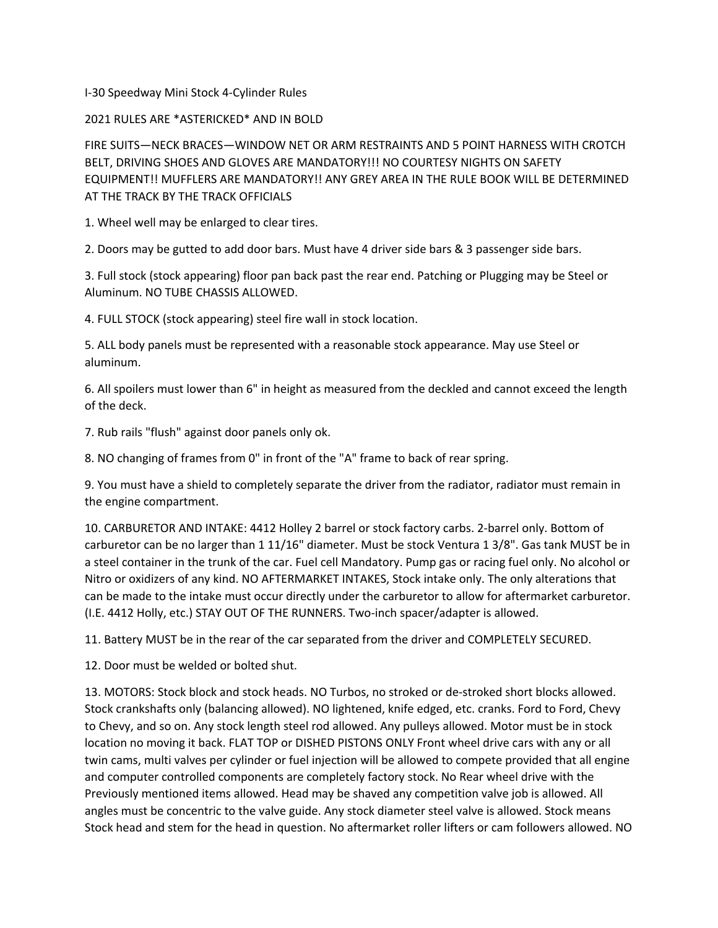I-30 Speedway Mini Stock 4-Cylinder Rules

2021 RULES ARE \*ASTERICKED\* AND IN BOLD

FIRE SUITS—NECK BRACES—WINDOW NET OR ARM RESTRAINTS AND 5 POINT HARNESS WITH CROTCH BELT, DRIVING SHOES AND GLOVES ARE MANDATORY!!! NO COURTESY NIGHTS ON SAFETY EQUIPMENT!! MUFFLERS ARE MANDATORY!! ANY GREY AREA IN THE RULE BOOK WILL BE DETERMINED AT THE TRACK BY THE TRACK OFFICIALS

1. Wheel well may be enlarged to clear tires.

2. Doors may be gutted to add door bars. Must have 4 driver side bars & 3 passenger side bars.

3. Full stock (stock appearing) floor pan back past the rear end. Patching or Plugging may be Steel or Aluminum. NO TUBE CHASSIS ALLOWED.

4. FULL STOCK (stock appearing) steel fire wall in stock location.

5. ALL body panels must be represented with a reasonable stock appearance. May use Steel or aluminum.

6. All spoilers must lower than 6" in height as measured from the deckled and cannot exceed the length of the deck.

7. Rub rails "flush" against door panels only ok.

8. NO changing of frames from 0" in front of the "A" frame to back of rear spring.

9. You must have a shield to completely separate the driver from the radiator, radiator must remain in the engine compartment.

10. CARBURETOR AND INTAKE: 4412 Holley 2 barrel or stock factory carbs. 2-barrel only. Bottom of carburetor can be no larger than 1 11/16" diameter. Must be stock Ventura 1 3/8". Gas tank MUST be in a steel container in the trunk of the car. Fuel cell Mandatory. Pump gas or racing fuel only. No alcohol or Nitro or oxidizers of any kind. NO AFTERMARKET INTAKES, Stock intake only. The only alterations that can be made to the intake must occur directly under the carburetor to allow for aftermarket carburetor. (I.E. 4412 Holly, etc.) STAY OUT OF THE RUNNERS. Two-inch spacer/adapter is allowed.

11. Battery MUST be in the rear of the car separated from the driver and COMPLETELY SECURED.

12. Door must be welded or bolted shut.

13. MOTORS: Stock block and stock heads. NO Turbos, no stroked or de-stroked short blocks allowed. Stock crankshafts only (balancing allowed). NO lightened, knife edged, etc. cranks. Ford to Ford, Chevy to Chevy, and so on. Any stock length steel rod allowed. Any pulleys allowed. Motor must be in stock location no moving it back. FLAT TOP or DISHED PISTONS ONLY Front wheel drive cars with any or all twin cams, multi valves per cylinder or fuel injection will be allowed to compete provided that all engine and computer controlled components are completely factory stock. No Rear wheel drive with the Previously mentioned items allowed. Head may be shaved any competition valve job is allowed. All angles must be concentric to the valve guide. Any stock diameter steel valve is allowed. Stock means Stock head and stem for the head in question. No aftermarket roller lifters or cam followers allowed. NO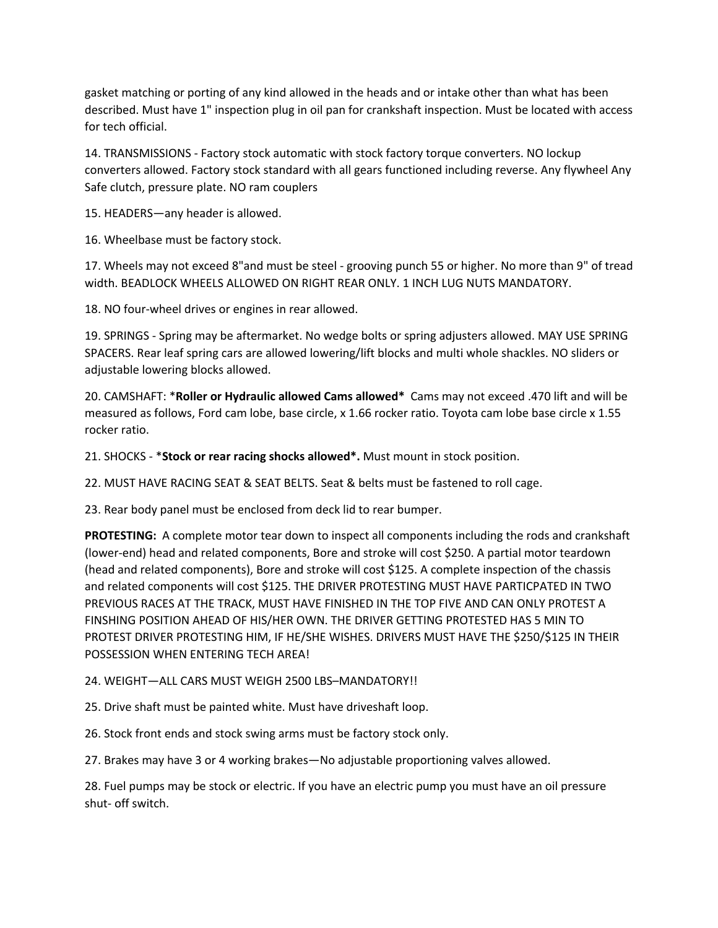gasket matching or porting of any kind allowed in the heads and or intake other than what has been described. Must have 1" inspection plug in oil pan for crankshaft inspection. Must be located with access for tech official.

14. TRANSMISSIONS - Factory stock automatic with stock factory torque converters. NO lockup converters allowed. Factory stock standard with all gears functioned including reverse. Any flywheel Any Safe clutch, pressure plate. NO ram couplers

15. HEADERS—any header is allowed.

16. Wheelbase must be factory stock.

17. Wheels may not exceed 8"and must be steel - grooving punch 55 or higher. No more than 9" of tread width. BEADLOCK WHEELS ALLOWED ON RIGHT REAR ONLY. 1 INCH LUG NUTS MANDATORY.

18. NO four-wheel drives or engines in rear allowed.

19. SPRINGS - Spring may be aftermarket. No wedge bolts or spring adjusters allowed. MAY USE SPRING SPACERS. Rear leaf spring cars are allowed lowering/lift blocks and multi whole shackles. NO sliders or adjustable lowering blocks allowed.

20. CAMSHAFT: \***Roller or Hydraulic allowed Cams allowed\*** Cams may not exceed .470 lift and will be measured as follows, Ford cam lobe, base circle, x 1.66 rocker ratio. Toyota cam lobe base circle x 1.55 rocker ratio.

21. SHOCKS - \***Stock or rear racing shocks allowed\*.** Must mount in stock position.

22. MUST HAVE RACING SEAT & SEAT BELTS. Seat & belts must be fastened to roll cage.

23. Rear body panel must be enclosed from deck lid to rear bumper.

**PROTESTING:** A complete motor tear down to inspect all components including the rods and crankshaft (lower-end) head and related components, Bore and stroke will cost \$250. A partial motor teardown (head and related components), Bore and stroke will cost \$125. A complete inspection of the chassis and related components will cost \$125. THE DRIVER PROTESTING MUST HAVE PARTICPATED IN TWO PREVIOUS RACES AT THE TRACK, MUST HAVE FINISHED IN THE TOP FIVE AND CAN ONLY PROTEST A FINSHING POSITION AHEAD OF HIS/HER OWN. THE DRIVER GETTING PROTESTED HAS 5 MIN TO PROTEST DRIVER PROTESTING HIM, IF HE/SHE WISHES. DRIVERS MUST HAVE THE \$250/\$125 IN THEIR POSSESSION WHEN ENTERING TECH AREA!

24. WEIGHT—ALL CARS MUST WEIGH 2500 LBS–MANDATORY!!

25. Drive shaft must be painted white. Must have driveshaft loop.

26. Stock front ends and stock swing arms must be factory stock only.

27. Brakes may have 3 or 4 working brakes—No adjustable proportioning valves allowed.

28. Fuel pumps may be stock or electric. If you have an electric pump you must have an oil pressure shut- off switch.